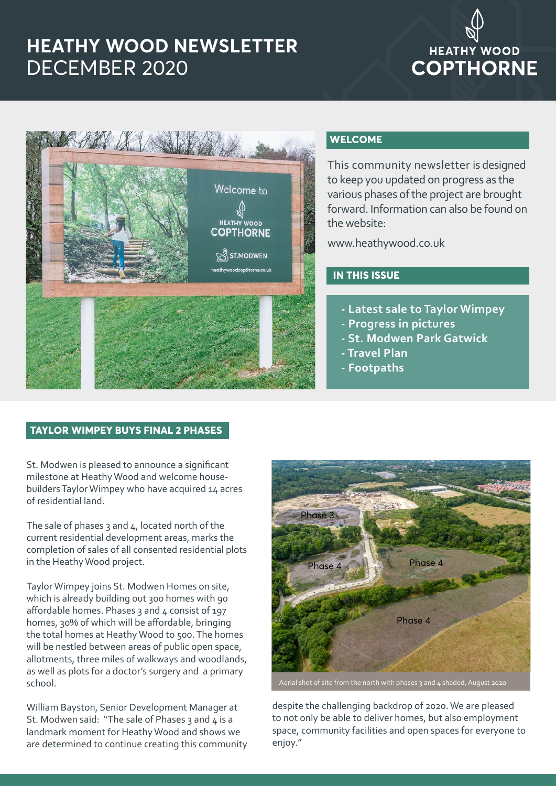# **HEATHY WOOD NEWSLETTER** DECEMBER 2020

# **HEATHY WOOD COPTHORNE**



#### **WELCOME**

This community newsletter is designed to keep you updated on progress as the various phases of the project are brought forward. Information can also be found on the website:

www.heathywood.co.uk

# **IN THIS ISSUE**

- **Latest sale to Taylor Wimpey**
- **Progress in pictures**
- **St. Modwen Park Gatwick**
- **Travel Plan**
- **Footpaths**

## **TAYLOR WIMPEY BUYS FINAL 2 PHASES**

St. Modwen is pleased to announce a significant milestone at Heathy Wood and welcome housebuilders Taylor Wimpey who have acquired 14 acres of residential land.

The sale of phases  $3$  and  $4$ , located north of the current residential development areas, marks the completion of sales of all consented residential plots in the Heathy Wood project.

Taylor Wimpey joins St. Modwen Homes on site, which is already building out 300 homes with 90 affordable homes. Phases  $3$  and  $4$  consist of 197 homes, 30% of which will be affordable, bringing the total homes at Heathy Wood to 500. The homes will be nestled between areas of public open space, allotments, three miles of walkways and woodlands, as well as plots for a doctor's surgery and a primary school.

William Bayston, Senior Development Manager at St. Modwen said: "The sale of Phases 3 and  $4$  is a landmark moment for Heathy Wood and shows we are determined to continue creating this community



despite the challenging backdrop of 2020. We are pleased to not only be able to deliver homes, but also employment space, community facilities and open spaces for everyone to enjoy."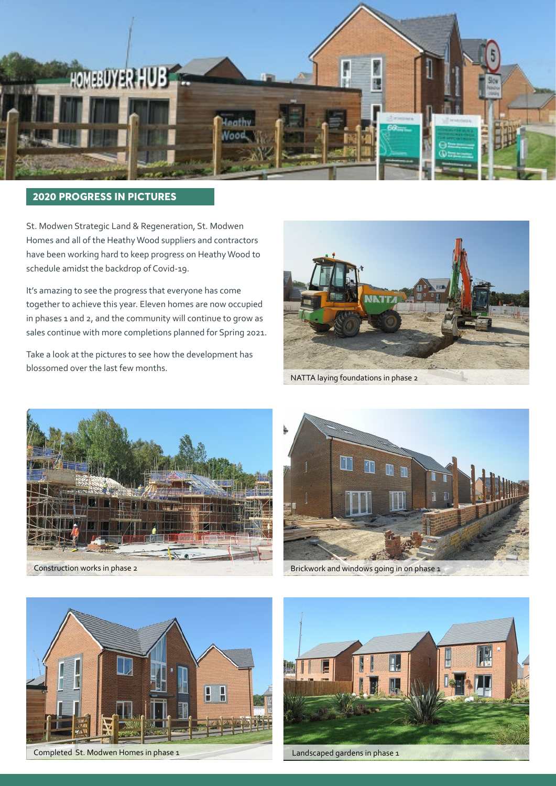

## **2020 PROGRESS IN PICTURES**

St. Modwen Strategic Land & Regeneration, St. Modwen Homes and all of the Heathy Wood suppliers and contractors have been working hard to keep progress on Heathy Wood to schedule amidst the backdrop of Covid-19.

It's amazing to see the progress that everyone has come together to achieve this year. Eleven homes are now occupied in phases 1 and 2, and the community will continue to grow as sales continue with more completions planned for Spring 2021.

Take a look at the pictures to see how the development has blossomed over the last few months.



NATTA laying foundations in phase 2







Completed St. Modwen Homes in phase 1 Landscaped gardens in phase 1

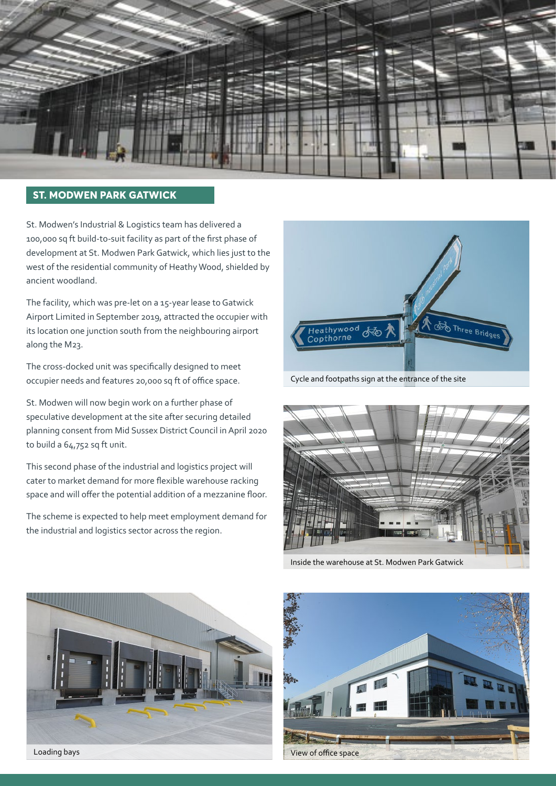

#### **ST. MODWEN PARK GATWICK**

St. Modwen's Industrial & Logistics team has delivered a 100,000 sq ft build-to-suit facility as part of the first phase of development at St. Modwen Park Gatwick, which lies just to the west of the residential community of Heathy Wood, shielded by ancient woodland.

The facility, which was pre-let on a 15-year lease to Gatwick Airport Limited in September 2019, attracted the occupier with its location one junction south from the neighbouring airport along the M23.

The cross-docked unit was specifically designed to meet occupier needs and features 20,000 sq ft of office space.

St. Modwen will now begin work on a further phase of speculative development at the site after securing detailed planning consent from Mid Sussex District Council in April 2020 to build a 64,752 sq ft unit.

This second phase of the industrial and logistics project will cater to market demand for more flexible warehouse racking space and will offer the potential addition of a mezzanine floor.

The scheme is expected to help meet employment demand for the industrial and logistics sector across the region.



Cycle and footpaths sign at the entrance of the site



Inside the warehouse at St. Modwen Park Gatwick